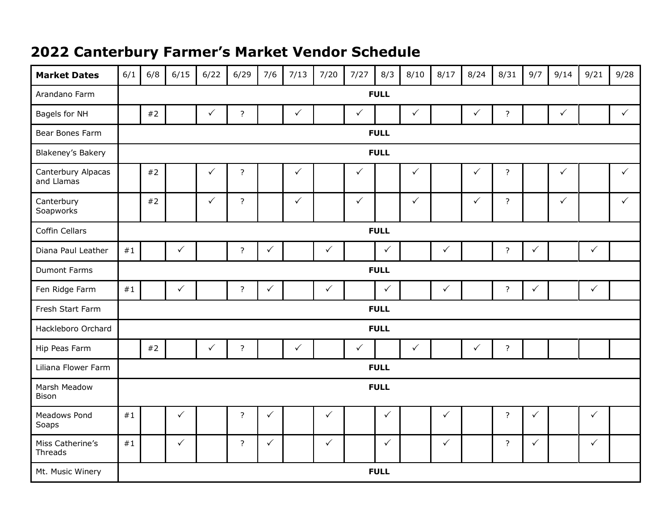## **2022 Canterbury Farmer's Market Vendor Schedule**

| <b>Market Dates</b>              | 6/1         | 6/8         | 6/15         | 6/22         | 6/29           | 7/6          | 7/13         | 7/20         | 7/27         | 8/3          | 8/10         | 8/17         | 8/24         | 8/31           | 9/7          | 9/14         | 9/21         | 9/28         |
|----------------------------------|-------------|-------------|--------------|--------------|----------------|--------------|--------------|--------------|--------------|--------------|--------------|--------------|--------------|----------------|--------------|--------------|--------------|--------------|
| Arandano Farm                    | <b>FULL</b> |             |              |              |                |              |              |              |              |              |              |              |              |                |              |              |              |              |
| Bagels for NH                    |             | #2          |              | $\checkmark$ | $\overline{?}$ |              | $\checkmark$ |              | $\checkmark$ |              | $\checkmark$ |              | $\checkmark$ | $\overline{?}$ |              | $\checkmark$ |              | $\checkmark$ |
| Bear Bones Farm                  | <b>FULL</b> |             |              |              |                |              |              |              |              |              |              |              |              |                |              |              |              |              |
| Blakeney's Bakery                | <b>FULL</b> |             |              |              |                |              |              |              |              |              |              |              |              |                |              |              |              |              |
| Canterbury Alpacas<br>and Llamas |             | #2          |              | $\checkmark$ | $\overline{?}$ |              | $\checkmark$ |              | $\checkmark$ |              | $\checkmark$ |              | $\checkmark$ | $\overline{?}$ |              | $\checkmark$ |              | $\checkmark$ |
| Canterbury<br>Soapworks          |             | $#2$        |              | $\checkmark$ | $\overline{?}$ |              | $\checkmark$ |              | $\checkmark$ |              | $\checkmark$ |              | $\checkmark$ | $\overline{?}$ |              | $\checkmark$ |              | $\checkmark$ |
| Coffin Cellars                   | <b>FULL</b> |             |              |              |                |              |              |              |              |              |              |              |              |                |              |              |              |              |
| Diana Paul Leather               | #1          |             | $\checkmark$ |              | $\overline{?}$ | $\checkmark$ |              | $\checkmark$ |              | $\checkmark$ |              | $\checkmark$ |              | $\overline{?}$ | $\checkmark$ |              | $\checkmark$ |              |
| <b>Dumont Farms</b>              | <b>FULL</b> |             |              |              |                |              |              |              |              |              |              |              |              |                |              |              |              |              |
| Fen Ridge Farm                   | #1          |             | $\checkmark$ |              | $\overline{?}$ | $\checkmark$ |              | $\checkmark$ |              | $\checkmark$ |              | $\checkmark$ |              | $\overline{?}$ | $\checkmark$ |              | $\checkmark$ |              |
| Fresh Start Farm                 |             |             |              |              |                |              |              |              |              | <b>FULL</b>  |              |              |              |                |              |              |              |              |
| Hackleboro Orchard               | <b>FULL</b> |             |              |              |                |              |              |              |              |              |              |              |              |                |              |              |              |              |
| Hip Peas Farm                    |             | #2          |              | $\checkmark$ | $\overline{?}$ |              | $\checkmark$ |              | $\checkmark$ |              | $\checkmark$ |              | $\checkmark$ | $\overline{?}$ |              |              |              |              |
| Liliana Flower Farm              |             | <b>FULL</b> |              |              |                |              |              |              |              |              |              |              |              |                |              |              |              |              |
| Marsh Meadow<br>Bison            |             | <b>FULL</b> |              |              |                |              |              |              |              |              |              |              |              |                |              |              |              |              |
| Meadows Pond<br>Soaps            | #1          |             | $\checkmark$ |              | $\overline{?}$ | $\checkmark$ |              | $\checkmark$ |              | $\checkmark$ |              | $\checkmark$ |              | $\overline{?}$ | $\checkmark$ |              | $\checkmark$ |              |
| Miss Catherine's<br>Threads      | #1          |             | $\checkmark$ |              | $\overline{?}$ | $\checkmark$ |              | $\checkmark$ |              | $\checkmark$ |              | $\checkmark$ |              | $\overline{?}$ | $\checkmark$ |              | $\checkmark$ |              |
| Mt. Music Winery                 |             |             |              |              |                |              |              |              |              | <b>FULL</b>  |              |              |              |                |              |              |              |              |